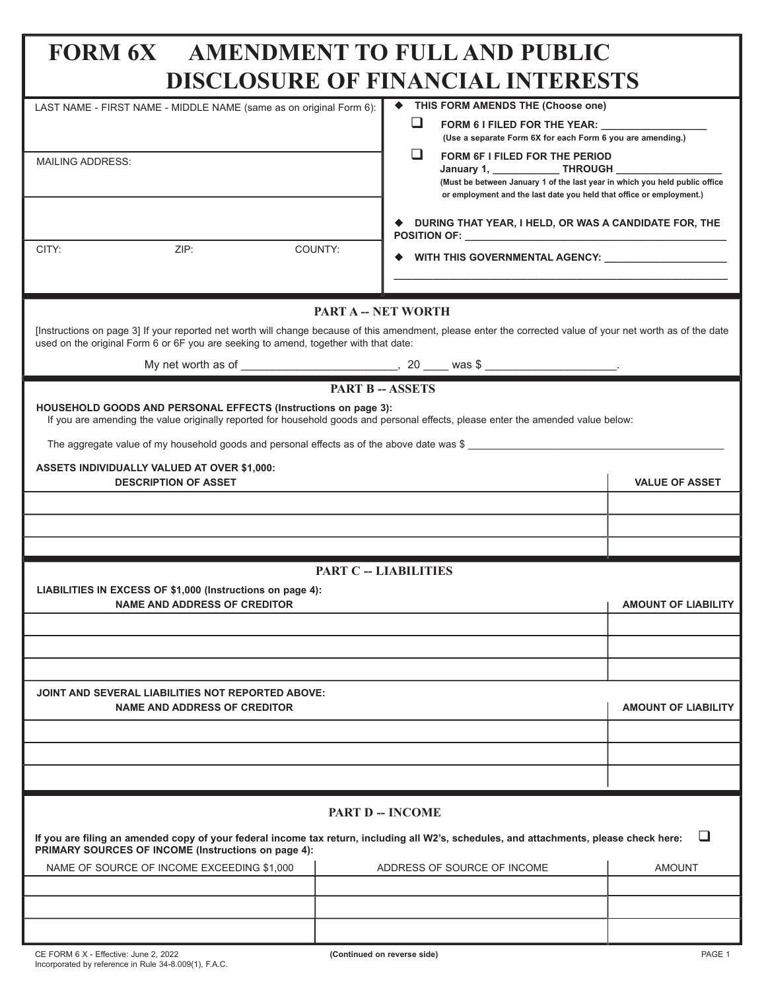# **FORM 6X AMENDMENT TO FULL AND PUBLIC DISCLOSURE OF FINANCIAL INTERFETS**

|                                                                                                                                                                                                                                                      | DISCLOSURE OF FIRANCIAL INTERESTS                                                                                                                   |                            |  |  |  |  |
|------------------------------------------------------------------------------------------------------------------------------------------------------------------------------------------------------------------------------------------------------|-----------------------------------------------------------------------------------------------------------------------------------------------------|----------------------------|--|--|--|--|
| LAST NAME - FIRST NAME - MIDDLE NAME (same as on original Form 6):                                                                                                                                                                                   | THIS FORM AMENDS THE (Choose one)                                                                                                                   |                            |  |  |  |  |
|                                                                                                                                                                                                                                                      | $\Box$<br>FORM 6 I FILED FOR THE YEAR: UNIT<br>(Use a separate Form 6X for each Form 6 you are amending.)                                           |                            |  |  |  |  |
|                                                                                                                                                                                                                                                      | ப<br>FORM 6F I FILED FOR THE PERIOD                                                                                                                 |                            |  |  |  |  |
| <b>MAILING ADDRESS:</b>                                                                                                                                                                                                                              | January 1, ______________ THROUGH ____________                                                                                                      |                            |  |  |  |  |
|                                                                                                                                                                                                                                                      | (Must be between January 1 of the last year in which you held public office<br>or employment and the last date you held that office or employment.) |                            |  |  |  |  |
|                                                                                                                                                                                                                                                      | ♦ DURING THAT YEAR, I HELD, OR WAS A CANDIDATE FOR, THE                                                                                             |                            |  |  |  |  |
| CITY:<br>ZIP:                                                                                                                                                                                                                                        | COUNTY:<br>◆ WITH THIS GOVERNMENTAL AGENCY: _____________________                                                                                   |                            |  |  |  |  |
|                                                                                                                                                                                                                                                      |                                                                                                                                                     |                            |  |  |  |  |
| PART A -- NET WORTH                                                                                                                                                                                                                                  |                                                                                                                                                     |                            |  |  |  |  |
| [Instructions on page 3] If your reported net worth will change because of this amendment, please enter the corrected value of your net worth as of the date<br>used on the original Form 6 or 6F you are seeking to amend, together with that date: |                                                                                                                                                     |                            |  |  |  |  |
|                                                                                                                                                                                                                                                      |                                                                                                                                                     |                            |  |  |  |  |
| <b>PART B - ASSETS</b>                                                                                                                                                                                                                               |                                                                                                                                                     |                            |  |  |  |  |
| HOUSEHOLD GOODS AND PERSONAL EFFECTS (Instructions on page 3):<br>If you are amending the value originally reported for household goods and personal effects, please enter the amended value below:                                                  |                                                                                                                                                     |                            |  |  |  |  |
| The aggregate value of my household goods and personal effects as of the above date was \$                                                                                                                                                           |                                                                                                                                                     |                            |  |  |  |  |
| <b>ASSETS INDIVIDUALLY VALUED AT OVER \$1,000:</b><br><b>DESCRIPTION OF ASSET</b>                                                                                                                                                                    |                                                                                                                                                     | <b>VALUE OF ASSET</b>      |  |  |  |  |
|                                                                                                                                                                                                                                                      |                                                                                                                                                     |                            |  |  |  |  |
|                                                                                                                                                                                                                                                      |                                                                                                                                                     |                            |  |  |  |  |
|                                                                                                                                                                                                                                                      |                                                                                                                                                     |                            |  |  |  |  |
| <b>PART C -- LIABILITIES</b>                                                                                                                                                                                                                         |                                                                                                                                                     |                            |  |  |  |  |
| LIABILITIES IN EXCESS OF \$1,000 (Instructions on page 4):                                                                                                                                                                                           |                                                                                                                                                     |                            |  |  |  |  |
| <b>NAME AND ADDRESS OF CREDITOR</b>                                                                                                                                                                                                                  |                                                                                                                                                     | <b>AMOUNT OF LIABILITY</b> |  |  |  |  |
|                                                                                                                                                                                                                                                      |                                                                                                                                                     |                            |  |  |  |  |
|                                                                                                                                                                                                                                                      |                                                                                                                                                     |                            |  |  |  |  |
|                                                                                                                                                                                                                                                      |                                                                                                                                                     |                            |  |  |  |  |
| JOINT AND SEVERAL LIABILITIES NOT REPORTED ABOVE:<br><b>NAME AND ADDRESS OF CREDITOR</b>                                                                                                                                                             | <b>AMOUNT OF LIABILITY</b>                                                                                                                          |                            |  |  |  |  |
|                                                                                                                                                                                                                                                      |                                                                                                                                                     |                            |  |  |  |  |
|                                                                                                                                                                                                                                                      |                                                                                                                                                     |                            |  |  |  |  |
|                                                                                                                                                                                                                                                      |                                                                                                                                                     |                            |  |  |  |  |
| <b>PART D -- INCOME</b>                                                                                                                                                                                                                              |                                                                                                                                                     |                            |  |  |  |  |
| ப<br>If you are filing an amended copy of your federal income tax return, including all W2's, schedules, and attachments, please check here:<br>PRIMARY SOURCES OF INCOME (Instructions on page 4):                                                  |                                                                                                                                                     |                            |  |  |  |  |
| NAME OF SOURCE OF INCOME EXCEEDING \$1,000                                                                                                                                                                                                           | ADDRESS OF SOURCE OF INCOME                                                                                                                         | <b>AMOUNT</b>              |  |  |  |  |
|                                                                                                                                                                                                                                                      |                                                                                                                                                     |                            |  |  |  |  |
|                                                                                                                                                                                                                                                      |                                                                                                                                                     |                            |  |  |  |  |
|                                                                                                                                                                                                                                                      |                                                                                                                                                     |                            |  |  |  |  |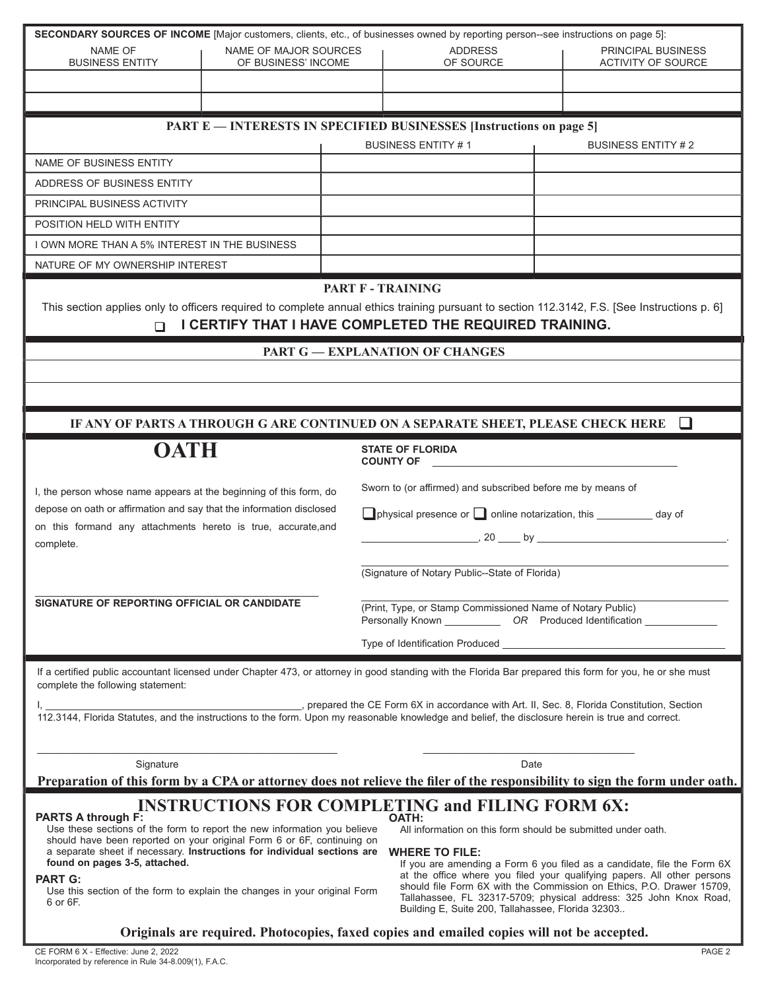| SECONDARY SOURCES OF INCOME [Major customers, clients, etc., of businesses owned by reporting person--see instructions on page 5]:                                                                                                                                                                                                                                                    |                                                                                                                                                           |  |                                                                     |                                                                                                                                              |  |                                                                                                                                   |
|---------------------------------------------------------------------------------------------------------------------------------------------------------------------------------------------------------------------------------------------------------------------------------------------------------------------------------------------------------------------------------------|-----------------------------------------------------------------------------------------------------------------------------------------------------------|--|---------------------------------------------------------------------|----------------------------------------------------------------------------------------------------------------------------------------------|--|-----------------------------------------------------------------------------------------------------------------------------------|
| NAME OF                                                                                                                                                                                                                                                                                                                                                                               | NAME OF MAJOR SOURCES                                                                                                                                     |  | <b>ADDRESS</b>                                                      | <b>PRINCIPAL BUSINESS</b>                                                                                                                    |  |                                                                                                                                   |
| <b>BUSINESS ENTITY</b>                                                                                                                                                                                                                                                                                                                                                                | OF BUSINESS' INCOME                                                                                                                                       |  | OF SOURCE                                                           | ACTIVITY OF SOURCE                                                                                                                           |  |                                                                                                                                   |
|                                                                                                                                                                                                                                                                                                                                                                                       |                                                                                                                                                           |  |                                                                     |                                                                                                                                              |  |                                                                                                                                   |
|                                                                                                                                                                                                                                                                                                                                                                                       |                                                                                                                                                           |  |                                                                     |                                                                                                                                              |  |                                                                                                                                   |
|                                                                                                                                                                                                                                                                                                                                                                                       |                                                                                                                                                           |  | PART E — INTERESTS IN SPECIFIED BUSINESSES [Instructions on page 5] |                                                                                                                                              |  |                                                                                                                                   |
|                                                                                                                                                                                                                                                                                                                                                                                       |                                                                                                                                                           |  | <b>BUSINESS ENTITY #1</b>                                           | <b>BUSINESS ENTITY #2</b>                                                                                                                    |  |                                                                                                                                   |
| NAME OF BUSINESS ENTITY                                                                                                                                                                                                                                                                                                                                                               |                                                                                                                                                           |  |                                                                     |                                                                                                                                              |  |                                                                                                                                   |
| ADDRESS OF BUSINESS ENTITY                                                                                                                                                                                                                                                                                                                                                            |                                                                                                                                                           |  |                                                                     |                                                                                                                                              |  |                                                                                                                                   |
| PRINCIPAL BUSINESS ACTIVITY                                                                                                                                                                                                                                                                                                                                                           |                                                                                                                                                           |  |                                                                     |                                                                                                                                              |  |                                                                                                                                   |
| POSITION HELD WITH ENTITY                                                                                                                                                                                                                                                                                                                                                             |                                                                                                                                                           |  |                                                                     |                                                                                                                                              |  |                                                                                                                                   |
| I OWN MORE THAN A 5% INTEREST IN THE BUSINESS                                                                                                                                                                                                                                                                                                                                         |                                                                                                                                                           |  |                                                                     |                                                                                                                                              |  |                                                                                                                                   |
| NATURE OF MY OWNERSHIP INTEREST                                                                                                                                                                                                                                                                                                                                                       |                                                                                                                                                           |  |                                                                     |                                                                                                                                              |  |                                                                                                                                   |
|                                                                                                                                                                                                                                                                                                                                                                                       |                                                                                                                                                           |  | PART F - TRAINING                                                   |                                                                                                                                              |  |                                                                                                                                   |
|                                                                                                                                                                                                                                                                                                                                                                                       |                                                                                                                                                           |  |                                                                     | This section applies only to officers required to complete annual ethics training pursuant to section 112.3142, F.S. [See Instructions p. 6] |  |                                                                                                                                   |
| n                                                                                                                                                                                                                                                                                                                                                                                     |                                                                                                                                                           |  | I CERTIFY THAT I HAVE COMPLETED THE REQUIRED TRAINING.              |                                                                                                                                              |  |                                                                                                                                   |
|                                                                                                                                                                                                                                                                                                                                                                                       |                                                                                                                                                           |  | <b>PART G - EXPLANATION OF CHANGES</b>                              |                                                                                                                                              |  |                                                                                                                                   |
|                                                                                                                                                                                                                                                                                                                                                                                       |                                                                                                                                                           |  |                                                                     |                                                                                                                                              |  |                                                                                                                                   |
|                                                                                                                                                                                                                                                                                                                                                                                       |                                                                                                                                                           |  |                                                                     |                                                                                                                                              |  |                                                                                                                                   |
|                                                                                                                                                                                                                                                                                                                                                                                       |                                                                                                                                                           |  |                                                                     |                                                                                                                                              |  |                                                                                                                                   |
|                                                                                                                                                                                                                                                                                                                                                                                       |                                                                                                                                                           |  |                                                                     | IF ANY OF PARTS A THROUGH G ARE CONTINUED ON A SEPARATE SHEET, PLEASE CHECK HERE $\Box$                                                      |  |                                                                                                                                   |
| <b>OATH</b>                                                                                                                                                                                                                                                                                                                                                                           |                                                                                                                                                           |  | <b>STATE OF FLORIDA</b><br><b>COUNTY OF</b>                         |                                                                                                                                              |  |                                                                                                                                   |
| I, the person whose name appears at the beginning of this form, do                                                                                                                                                                                                                                                                                                                    |                                                                                                                                                           |  | Sworn to (or affirmed) and subscribed before me by means of         |                                                                                                                                              |  |                                                                                                                                   |
| depose on oath or affirmation and say that the information disclosed<br>on this formand any attachments hereto is true, accurate, and                                                                                                                                                                                                                                                 |                                                                                                                                                           |  | □ physical presence or □ online notarization, this _________ day of |                                                                                                                                              |  |                                                                                                                                   |
|                                                                                                                                                                                                                                                                                                                                                                                       |                                                                                                                                                           |  |                                                                     |                                                                                                                                              |  |                                                                                                                                   |
| complete.                                                                                                                                                                                                                                                                                                                                                                             |                                                                                                                                                           |  |                                                                     |                                                                                                                                              |  |                                                                                                                                   |
|                                                                                                                                                                                                                                                                                                                                                                                       |                                                                                                                                                           |  | (Signature of Notary Public--State of Florida)                      |                                                                                                                                              |  |                                                                                                                                   |
|                                                                                                                                                                                                                                                                                                                                                                                       |                                                                                                                                                           |  |                                                                     |                                                                                                                                              |  |                                                                                                                                   |
| SIGNATURE OF REPORTING OFFICIAL OR CANDIDATE                                                                                                                                                                                                                                                                                                                                          |                                                                                                                                                           |  | (Print, Type, or Stamp Commissioned Name of Notary Public)          |                                                                                                                                              |  |                                                                                                                                   |
|                                                                                                                                                                                                                                                                                                                                                                                       |                                                                                                                                                           |  | Personally Known ______________ OR Produced Identification          |                                                                                                                                              |  |                                                                                                                                   |
|                                                                                                                                                                                                                                                                                                                                                                                       |                                                                                                                                                           |  | Type of Identification Produced <b>Example 20</b>                   |                                                                                                                                              |  |                                                                                                                                   |
| complete the following statement:                                                                                                                                                                                                                                                                                                                                                     | If a certified public accountant licensed under Chapter 473, or attorney in good standing with the Florida Bar prepared this form for you, he or she must |  |                                                                     |                                                                                                                                              |  |                                                                                                                                   |
|                                                                                                                                                                                                                                                                                                                                                                                       |                                                                                                                                                           |  |                                                                     |                                                                                                                                              |  |                                                                                                                                   |
|                                                                                                                                                                                                                                                                                                                                                                                       |                                                                                                                                                           |  |                                                                     |                                                                                                                                              |  |                                                                                                                                   |
|                                                                                                                                                                                                                                                                                                                                                                                       |                                                                                                                                                           |  |                                                                     |                                                                                                                                              |  |                                                                                                                                   |
| Signature                                                                                                                                                                                                                                                                                                                                                                             |                                                                                                                                                           |  | Date                                                                |                                                                                                                                              |  |                                                                                                                                   |
|                                                                                                                                                                                                                                                                                                                                                                                       |                                                                                                                                                           |  |                                                                     | Preparation of this form by a CPA or attorney does not relieve the filer of the responsibility to sign the form under oath.                  |  |                                                                                                                                   |
| <b>INSTRUCTIONS FOR COMPLETING and FILING FORM 6X:</b>                                                                                                                                                                                                                                                                                                                                |                                                                                                                                                           |  |                                                                     |                                                                                                                                              |  |                                                                                                                                   |
| <b>PARTS A through F:</b><br><b>OATH:</b><br>Use these sections of the form to report the new information you believe<br>All information on this form should be submitted under oath.<br>should have been reported on your original Form 6 or 6F, continuing on<br>a separate sheet if necessary. Instructions for individual sections are                                            |                                                                                                                                                           |  |                                                                     |                                                                                                                                              |  |                                                                                                                                   |
|                                                                                                                                                                                                                                                                                                                                                                                       |                                                                                                                                                           |  |                                                                     |                                                                                                                                              |  | <b>WHERE TO FILE:</b><br>found on pages 3-5, attached.<br>If you are amending a Form 6 you filed as a candidate, file the Form 6X |
| at the office where you filed your qualifying papers. All other persons<br><b>PART G:</b><br>should file Form 6X with the Commission on Ethics, P.O. Drawer 15709,<br>Use this section of the form to explain the changes in your original Form<br>Tallahassee, FL 32317-5709; physical address: 325 John Knox Road,<br>6 or 6F.<br>Building E, Suite 200, Tallahassee, Florida 32303 |                                                                                                                                                           |  |                                                                     |                                                                                                                                              |  |                                                                                                                                   |
|                                                                                                                                                                                                                                                                                                                                                                                       |                                                                                                                                                           |  |                                                                     |                                                                                                                                              |  |                                                                                                                                   |
|                                                                                                                                                                                                                                                                                                                                                                                       |                                                                                                                                                           |  |                                                                     |                                                                                                                                              |  |                                                                                                                                   |
| Originals are required. Photocopies, faxed copies and emailed copies will not be accepted.                                                                                                                                                                                                                                                                                            |                                                                                                                                                           |  |                                                                     |                                                                                                                                              |  |                                                                                                                                   |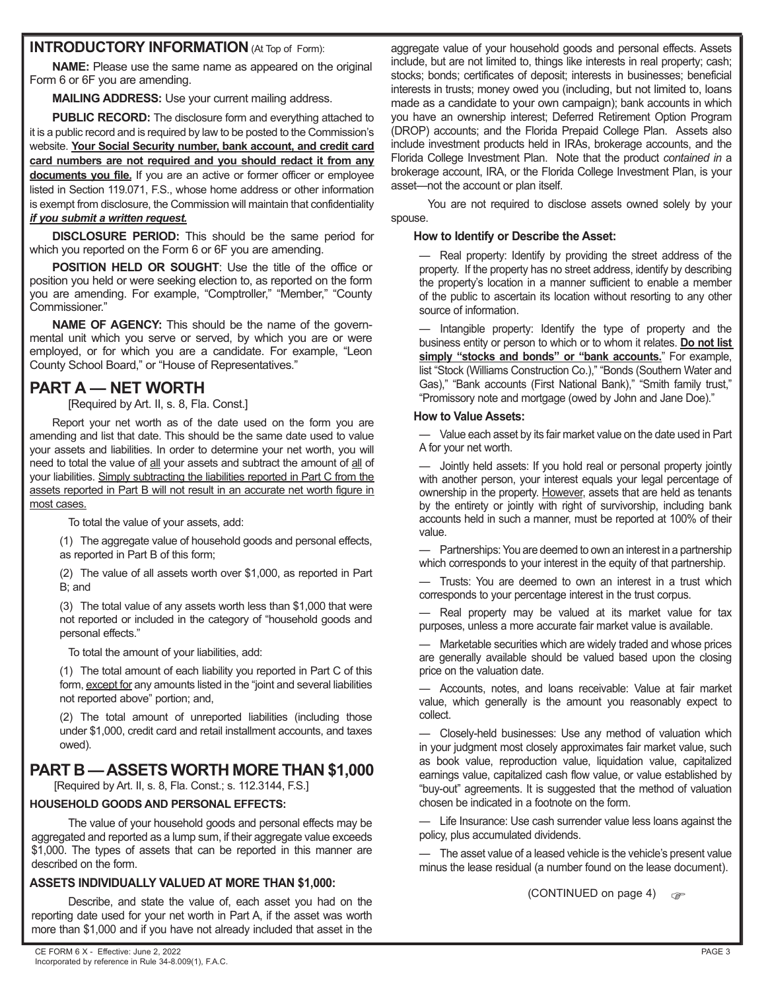#### **INTRODUCTORY INFORMATION** (At Top of Form):

**NAME:** Please use the same name as appeared on the original Form 6 or 6F you are amending.

**MAILING ADDRESS:** Use your current mailing address.

PUBLIC RECORD: The disclosure form and everything attached to it is a public record and is required by law to be posted to the Commission's website. **Your Social Security number, bank account, and credit card card numbers are not required and you should redact it from any documents you file.** If you are an active or former officer or employee listed in Section 119.071, F.S., whose home address or other information is exempt from disclosure, the Commission will maintain that confidentiality *if you submit a written request.*

**DISCLOSURE PERIOD:** This should be the same period for which you reported on the Form 6 or 6F you are amending.

**POSITION HELD OR SOUGHT**: Use the title of the office or position you held or were seeking election to, as reported on the form you are amending. For example, "Comptroller," "Member," "County Commissioner."

**NAME OF AGENCY:** This should be the name of the governmental unit which you serve or served, by which you are or were employed, or for which you are a candidate. For example, "Leon County School Board," or "House of Representatives."

### **PART A — NET WORTH**

[Required by Art. II, s. 8, Fla. Const.]

 Report your net worth as of the date used on the form you are amending and list that date. This should be the same date used to value your assets and liabilities. In order to determine your net worth, you will need to total the value of all your assets and subtract the amount of all of your liabilities. Simply subtracting the liabilities reported in Part C from the assets reported in Part B will not result in an accurate net worth figure in most cases.

To total the value of your assets, add:

(1) The aggregate value of household goods and personal effects, as reported in Part B of this form;

(2) The value of all assets worth over \$1,000, as reported in Part B; and

(3) The total value of any assets worth less than \$1,000 that were not reported or included in the category of "household goods and personal effects."

To total the amount of your liabilities, add:

(1) The total amount of each liability you reported in Part C of this form, except for any amounts listed in the "joint and several liabilities not reported above" portion; and,

(2) The total amount of unreported liabilities (including those under \$1,000, credit card and retail installment accounts, and taxes owed).

### **PART B — ASSETS WORTH MORE THAN \$1,000**

[Required by Art. II, s. 8, Fla. Const.; s. 112.3144, F.S.]

#### **HOUSEHOLD GOODS AND PERSONAL EFFECTS:**

The value of your household goods and personal effects may be aggregated and reported as a lump sum, if their aggregate value exceeds \$1,000. The types of assets that can be reported in this manner are described on the form.

#### **ASSETS INDIVIDUALLY VALUED AT MORE THAN \$1,000:**

Describe, and state the value of, each asset you had on the reporting date used for your net worth in Part A, if the asset was worth more than \$1,000 and if you have not already included that asset in the aggregate value of your household goods and personal effects. Assets include, but are not limited to, things like interests in real property; cash; stocks; bonds; certificates of deposit; interests in businesses; beneficial interests in trusts; money owed you (including, but not limited to, loans made as a candidate to your own campaign); bank accounts in which you have an ownership interest; Deferred Retirement Option Program (DROP) accounts; and the Florida Prepaid College Plan. Assets also include investment products held in IRAs, brokerage accounts, and the Florida College Investment Plan. Note that the product *contained in* a brokerage account, IRA, or the Florida College Investment Plan, is your asset—not the account or plan itself.

 You are not required to disclose assets owned solely by your spouse.

#### **How to Identify or Describe the Asset:**

— Real property: Identify by providing the street address of the property. If the property has no street address, identify by describing the property's location in a manner sufficient to enable a member of the public to ascertain its location without resorting to any other source of information.

— Intangible property: Identify the type of property and the business entity or person to which or to whom it relates. **Do not list**  simply "stocks and bonds" or "bank accounts." For example, list "Stock (Williams Construction Co.)," "Bonds (Southern Water and Gas)," "Bank accounts (First National Bank)," "Smith family trust," "Promissory note and mortgage (owed by John and Jane Doe)."

#### **How to Value Assets:**

— Value each asset by its fair market value on the date used in Part A for your net worth.

— Jointly held assets: If you hold real or personal property jointly with another person, your interest equals your legal percentage of ownership in the property. However, assets that are held as tenants by the entirety or jointly with right of survivorship, including bank accounts held in such a manner, must be reported at 100% of their value.

Partnerships: You are deemed to own an interest in a partnership which corresponds to your interest in the equity of that partnership.

— Trusts: You are deemed to own an interest in a trust which corresponds to your percentage interest in the trust corpus.

— Real property may be valued at its market value for tax purposes, unless a more accurate fair market value is available.

— Marketable securities which are widely traded and whose prices are generally available should be valued based upon the closing price on the valuation date.

— Accounts, notes, and loans receivable: Value at fair market value, which generally is the amount you reasonably expect to collect.

— Closely-held businesses: Use any method of valuation which in your judgment most closely approximates fair market value, such as book value, reproduction value, liquidation value, capitalized earnings value, capitalized cash flow value, or value established by "buy-out" agreements. It is suggested that the method of valuation chosen be indicated in a footnote on the form.

— Life Insurance: Use cash surrender value less loans against the policy, plus accumulated dividends.

— The asset value of a leased vehicle is the vehicle's present value minus the lease residual (a number found on the lease document).

(CONTINUED on page 4)  $\qquad \qquad$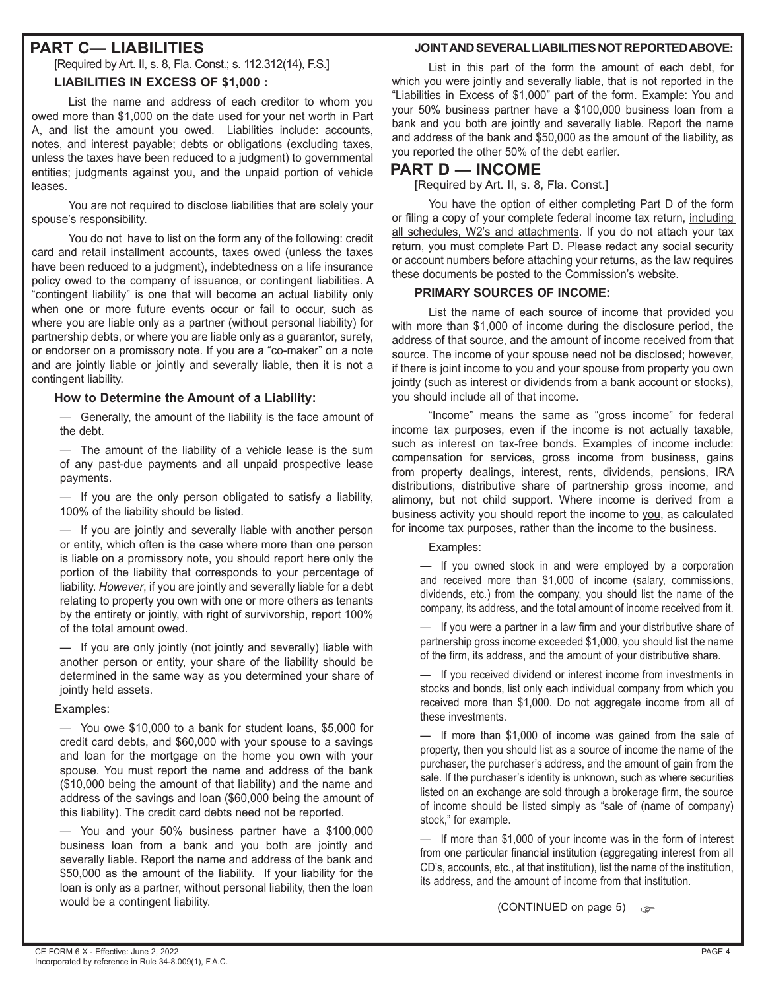### **PART C— LIABILITIES**

[Required by Art. II, s. 8, Fla. Const.; s. 112.312(14), F.S.]

#### **LIABILITIES IN EXCESS OF \$1,000 :**

List the name and address of each creditor to whom you owed more than \$1,000 on the date used for your net worth in Part A, and list the amount you owed. Liabilities include: accounts, notes, and interest payable; debts or obligations (excluding taxes, unless the taxes have been reduced to a judgment) to governmental entities; judgments against you, and the unpaid portion of vehicle leases.

 You are not required to disclose liabilities that are solely your spouse's responsibility.

 You do not have to list on the form any of the following: credit card and retail installment accounts, taxes owed (unless the taxes have been reduced to a judgment), indebtedness on a life insurance policy owed to the company of issuance, or contingent liabilities. A "contingent liability" is one that will become an actual liability only when one or more future events occur or fail to occur, such as where you are liable only as a partner (without personal liability) for partnership debts, or where you are liable only as a guarantor, surety, or endorser on a promissory note. If you are a "co-maker" on a note and are jointly liable or jointly and severally liable, then it is not a contingent liability.

#### **How to Determine the Amount of a Liability:**

— Generally, the amount of the liability is the face amount of the debt.

— The amount of the liability of a vehicle lease is the sum of any past-due payments and all unpaid prospective lease payments.

— If you are the only person obligated to satisfy a liability, 100% of the liability should be listed.

— If you are jointly and severally liable with another person or entity, which often is the case where more than one person is liable on a promissory note, you should report here only the portion of the liability that corresponds to your percentage of liability. *However*, if you are jointly and severally liable for a debt relating to property you own with one or more others as tenants by the entirety or jointly, with right of survivorship, report 100% of the total amount owed.

If you are only jointly (not jointly and severally) liable with another person or entity, your share of the liability should be determined in the same way as you determined your share of jointly held assets.

#### Examples:

— You owe \$10,000 to a bank for student loans, \$5,000 for credit card debts, and \$60,000 with your spouse to a savings and loan for the mortgage on the home you own with your spouse. You must report the name and address of the bank (\$10,000 being the amount of that liability) and the name and address of the savings and loan (\$60,000 being the amount of this liability). The credit card debts need not be reported.

— You and your 50% business partner have a \$100,000 business loan from a bank and you both are jointly and severally liable. Report the name and address of the bank and \$50,000 as the amount of the liability. If your liability for the loan is only as a partner, without personal liability, then the loan would be a contingent liability.

#### **JOINT AND SEVERAL LIABILITIES NOT REPORTED ABOVE:**

List in this part of the form the amount of each debt, for which you were jointly and severally liable, that is not reported in the "Liabilities in Excess of \$1,000" part of the form. Example: You and your 50% business partner have a \$100,000 business loan from a bank and you both are jointly and severally liable. Report the name and address of the bank and \$50,000 as the amount of the liability, as you reported the other 50% of the debt earlier.

### **PART D — INCOME**

[Required by Art. II, s. 8, Fla. Const.]

 You have the option of either completing Part D of the form or filing a copy of your complete federal income tax return, including all schedules, W2's and attachments. If you do not attach your tax return, you must complete Part D. Please redact any social security or account numbers before attaching your returns, as the law requires these documents be posted to the Commission's website.

#### **PRIMARY SOURCES OF INCOME:**

List the name of each source of income that provided you with more than \$1,000 of income during the disclosure period, the address of that source, and the amount of income received from that source. The income of your spouse need not be disclosed; however, if there is joint income to you and your spouse from property you own jointly (such as interest or dividends from a bank account or stocks), you should include all of that income.

 "Income" means the same as "gross income" for federal income tax purposes, even if the income is not actually taxable, such as interest on tax-free bonds. Examples of income include: compensation for services, gross income from business, gains from property dealings, interest, rents, dividends, pensions, IRA distributions, distributive share of partnership gross income, and alimony, but not child support. Where income is derived from a business activity you should report the income to you, as calculated for income tax purposes, rather than the income to the business.

Examples:

— If you owned stock in and were employed by a corporation and received more than \$1,000 of income (salary, commissions, dividends, etc.) from the company, you should list the name of the company, its address, and the total amount of income received from it.

— If you were a partner in a law firm and your distributive share of partnership gross income exceeded \$1,000, you should list the name of the firm, its address, and the amount of your distributive share.

— If you received dividend or interest income from investments in stocks and bonds, list only each individual company from which you received more than \$1,000. Do not aggregate income from all of these investments.

— If more than \$1,000 of income was gained from the sale of property, then you should list as a source of income the name of the purchaser, the purchaser's address, and the amount of gain from the sale. If the purchaser's identity is unknown, such as where securities listed on an exchange are sold through a brokerage firm, the source of income should be listed simply as "sale of (name of company) stock," for example.

— If more than \$1,000 of your income was in the form of interest from one particular financial institution (aggregating interest from all CD's, accounts, etc., at that institution), list the name of the institution, its address, and the amount of income from that institution.

(CONTINUED on page 5)  $\mathbb{R}$